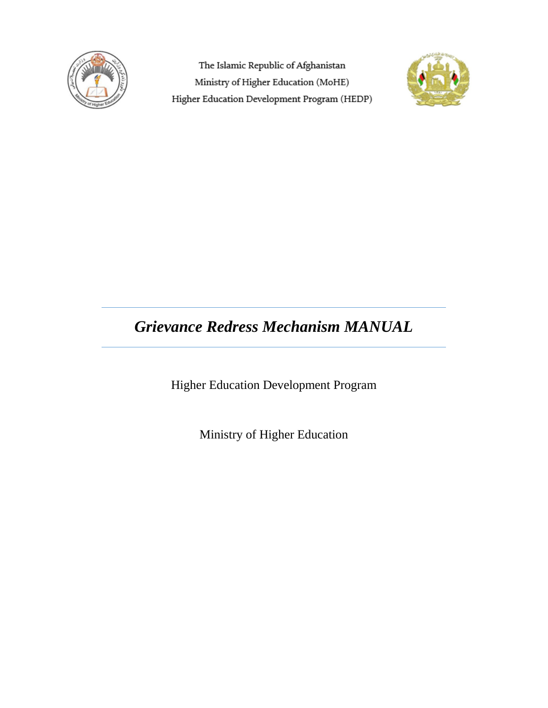

The Islamic Republic of Afghanistan Ministry of Higher Education (MoHE) Higher Education Development Program (HEDP)



# *Grievance Redress Mechanism MANUAL*

Higher Education Development Program

Ministry of Higher Education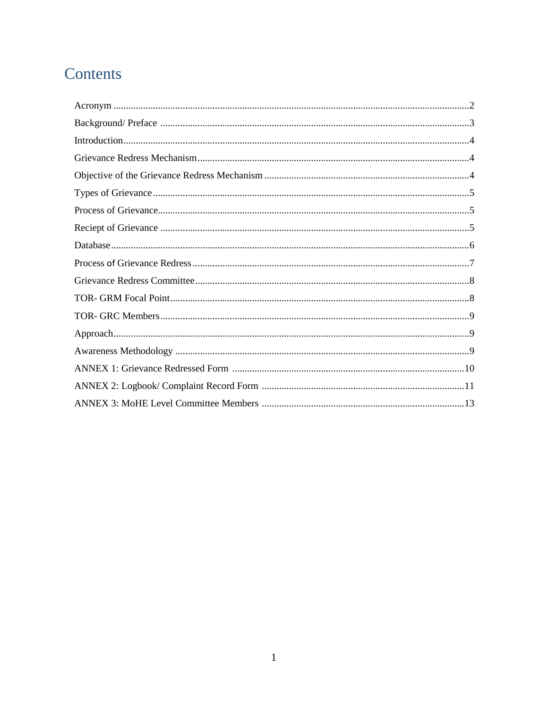# Contents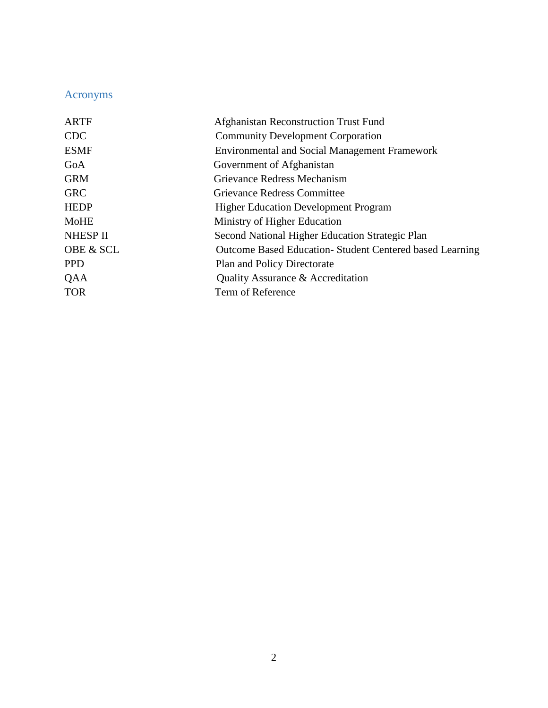# Acronyms

| <b>ARTF</b>          | Afghanistan Reconstruction Trust Fund                   |
|----------------------|---------------------------------------------------------|
| <b>CDC</b>           | <b>Community Development Corporation</b>                |
| <b>ESMF</b>          | <b>Environmental and Social Management Framework</b>    |
| GoA                  | Government of Afghanistan                               |
| <b>GRM</b>           | Grievance Redress Mechanism                             |
| <b>GRC</b>           | <b>Grievance Redress Committee</b>                      |
| <b>HEDP</b>          | <b>Higher Education Development Program</b>             |
| <b>MoHE</b>          | Ministry of Higher Education                            |
| <b>NHESP II</b>      | Second National Higher Education Strategic Plan         |
| <b>OBE &amp; SCL</b> | Outcome Based Education-Student Centered based Learning |
| <b>PPD</b>           | <b>Plan and Policy Directorate</b>                      |
| QAA                  | Quality Assurance & Accreditation                       |
| <b>TOR</b>           | Term of Reference                                       |
|                      |                                                         |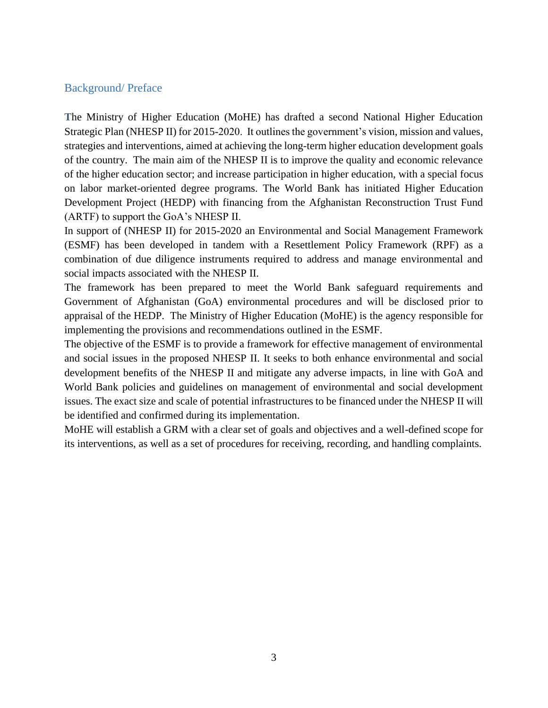#### Background/ Preface

**T**he Ministry of Higher Education (MoHE) has drafted a second National Higher Education Strategic Plan (NHESP II) for 2015-2020. It outlines the government's vision, mission and values, strategies and interventions, aimed at achieving the long-term higher education development goals of the country. The main aim of the NHESP II is to improve the quality and economic relevance of the higher education sector; and increase participation in higher education, with a special focus on labor market-oriented degree programs. The World Bank has initiated Higher Education Development Project (HEDP) with financing from the Afghanistan Reconstruction Trust Fund (ARTF) to support the GoA's NHESP II.

In support of (NHESP II) for 2015-2020 an Environmental and Social Management Framework (ESMF) has been developed in tandem with a Resettlement Policy Framework (RPF) as a combination of due diligence instruments required to address and manage environmental and social impacts associated with the NHESP II.

The framework has been prepared to meet the World Bank safeguard requirements and Government of Afghanistan (GoA) environmental procedures and will be disclosed prior to appraisal of the HEDP. The Ministry of Higher Education (MoHE) is the agency responsible for implementing the provisions and recommendations outlined in the ESMF.

The objective of the ESMF is to provide a framework for effective management of environmental and social issues in the proposed NHESP II. It seeks to both enhance environmental and social development benefits of the NHESP II and mitigate any adverse impacts, in line with GoA and World Bank policies and guidelines on management of environmental and social development issues. The exact size and scale of potential infrastructures to be financed under the NHESP II will be identified and confirmed during its implementation.

MoHE will establish a GRM with a clear set of goals and objectives and a well-defined scope for its interventions, as well as a set of procedures for receiving, recording, and handling complaints.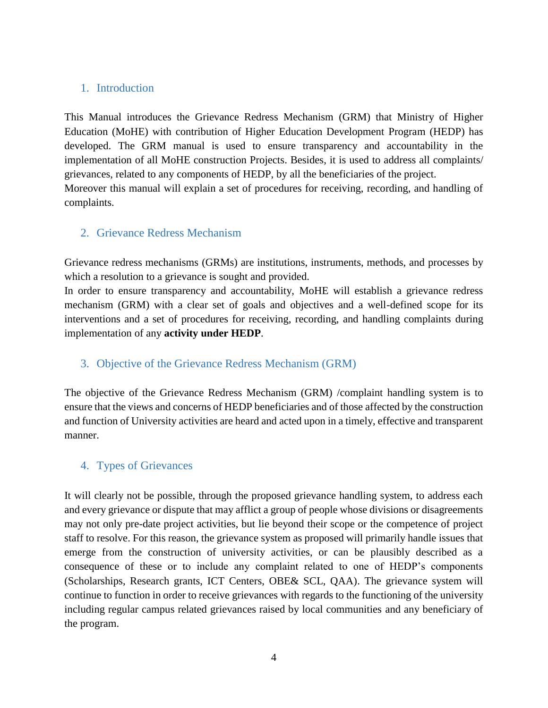#### 1. Introduction

This Manual introduces the Grievance Redress Mechanism (GRM) that Ministry of Higher Education (MoHE) with contribution of Higher Education Development Program (HEDP) has developed. The GRM manual is used to ensure transparency and accountability in the implementation of all MoHE construction Projects. Besides, it is used to address all complaints/ grievances, related to any components of HEDP, by all the beneficiaries of the project. Moreover this manual will explain a set of procedures for receiving, recording, and handling of complaints.

#### 2. Grievance Redress Mechanism

Grievance redress mechanisms (GRMs) are institutions, instruments, methods, and processes by which a resolution to a grievance is sought and provided.

In order to ensure transparency and accountability, MoHE will establish a grievance redress mechanism (GRM) with a clear set of goals and objectives and a well-defined scope for its interventions and a set of procedures for receiving, recording, and handling complaints during implementation of any **activity under HEDP**.

#### 3. Objective of the Grievance Redress Mechanism (GRM)

The objective of the Grievance Redress Mechanism (GRM) /complaint handling system is to ensure that the views and concerns of HEDP beneficiaries and of those affected by the construction and function of University activities are heard and acted upon in a timely, effective and transparent manner.

#### 4. Types of Grievances

It will clearly not be possible, through the proposed grievance handling system, to address each and every grievance or dispute that may afflict a group of people whose divisions or disagreements may not only pre-date project activities, but lie beyond their scope or the competence of project staff to resolve. For this reason, the grievance system as proposed will primarily handle issues that emerge from the construction of university activities, or can be plausibly described as a consequence of these or to include any complaint related to one of HEDP's components (Scholarships, Research grants, ICT Centers, OBE& SCL, QAA). The grievance system will continue to function in order to receive grievances with regards to the functioning of the university including regular campus related grievances raised by local communities and any beneficiary of the program.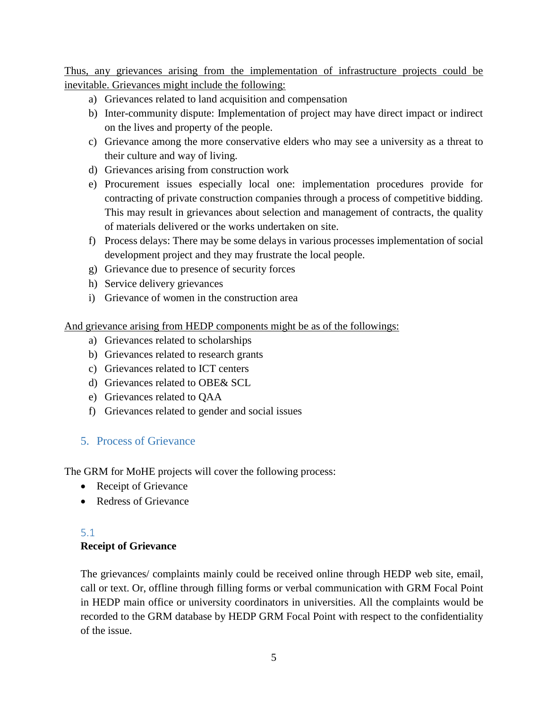Thus, any grievances arising from the implementation of infrastructure projects could be inevitable. Grievances might include the following:

- a) Grievances related to land acquisition and compensation
- b) Inter-community dispute: Implementation of project may have direct impact or indirect on the lives and property of the people.
- c) Grievance among the more conservative elders who may see a university as a threat to their culture and way of living.
- d) Grievances arising from construction work
- e) Procurement issues especially local one: implementation procedures provide for contracting of private construction companies through a process of competitive bidding. This may result in grievances about selection and management of contracts, the quality of materials delivered or the works undertaken on site.
- f) Process delays: There may be some delays in various processes implementation of social development project and they may frustrate the local people.
- g) Grievance due to presence of security forces
- h) Service delivery grievances
- i) Grievance of women in the construction area

And grievance arising from HEDP components might be as of the followings:

- a) Grievances related to scholarships
- b) Grievances related to research grants
- c) Grievances related to ICT centers
- d) Grievances related to OBE& SCL
- e) Grievances related to QAA
- f) Grievances related to gender and social issues

# 5. Process of Grievance

The GRM for MoHE projects will cover the following process:

- Receipt of Grievance
- Redress of Grievance

## 5.1 **Receipt of Grievance**

The grievances/ complaints mainly could be received online through HEDP web site, email, call or text. Or, offline through filling forms or verbal communication with GRM Focal Point in HEDP main office or university coordinators in universities. All the complaints would be recorded to the GRM database by HEDP GRM Focal Point with respect to the confidentiality of the issue.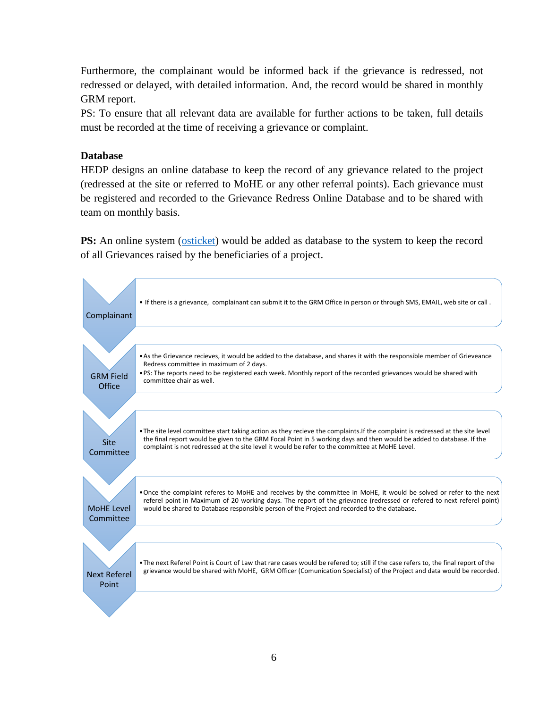Furthermore, the complainant would be informed back if the grievance is redressed, not redressed or delayed, with detailed information. And, the record would be shared in monthly GRM report.

PS: To ensure that all relevant data are available for further actions to be taken, full details must be recorded at the time of receiving a grievance or complaint.

#### **Database**

HEDP designs an online database to keep the record of any grievance related to the project (redressed at the site or referred to MoHE or any other referral points). Each grievance must be registered and recorded to the Grievance Redress Online Database and to be shared with team on monthly basis.

**PS:** An online system [\(osticket\)](http://elearn.hedp.af/grm/upload/open.php) would be added as database to the system to keep the record of all Grievances raised by the beneficiaries of a project.

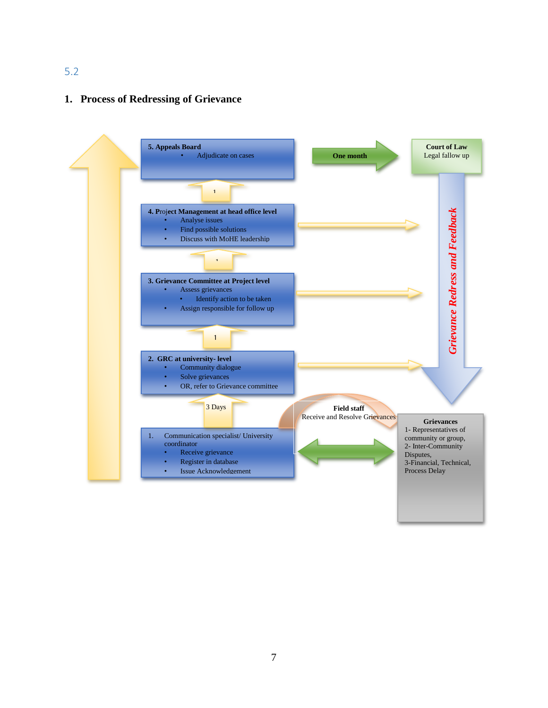#### 5.2

#### **1. Process of Redressing of Grievance**

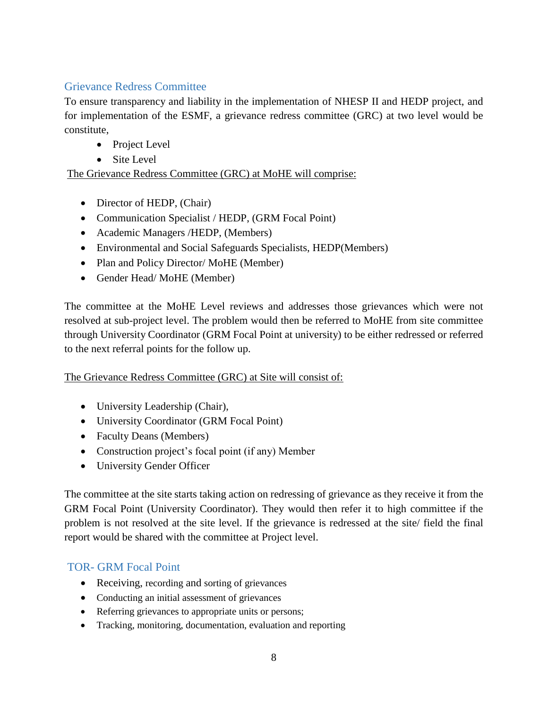#### Grievance Redress Committee

To ensure transparency and liability in the implementation of NHESP II and HEDP project, and for implementation of the ESMF, a grievance redress committee (GRC) at two level would be constitute,

- Project Level
- Site Level

The Grievance Redress Committee (GRC) at MoHE will comprise:

- Director of HEDP, (Chair)
- Communication Specialist / HEDP, (GRM Focal Point)
- Academic Managers /HEDP, (Members)
- Environmental and Social Safeguards Specialists, HEDP(Members)
- Plan and Policy Director/ MoHE (Member)
- Gender Head/MoHE (Member)

The committee at the MoHE Level reviews and addresses those grievances which were not resolved at sub-project level. The problem would then be referred to MoHE from site committee through University Coordinator (GRM Focal Point at university) to be either redressed or referred to the next referral points for the follow up.

#### The Grievance Redress Committee (GRC) at Site will consist of:

- University Leadership (Chair),
- University Coordinator (GRM Focal Point)
- Faculty Deans (Members)
- Construction project's focal point (if any) Member
- University Gender Officer

The committee at the site starts taking action on redressing of grievance as they receive it from the GRM Focal Point (University Coordinator). They would then refer it to high committee if the problem is not resolved at the site level. If the grievance is redressed at the site/ field the final report would be shared with the committee at Project level.

# TOR- GRM Focal Point

- Receiving, recording and sorting of grievances
- Conducting an initial assessment of grievances
- Referring grievances to appropriate units or persons;
- Tracking, monitoring, documentation, evaluation and reporting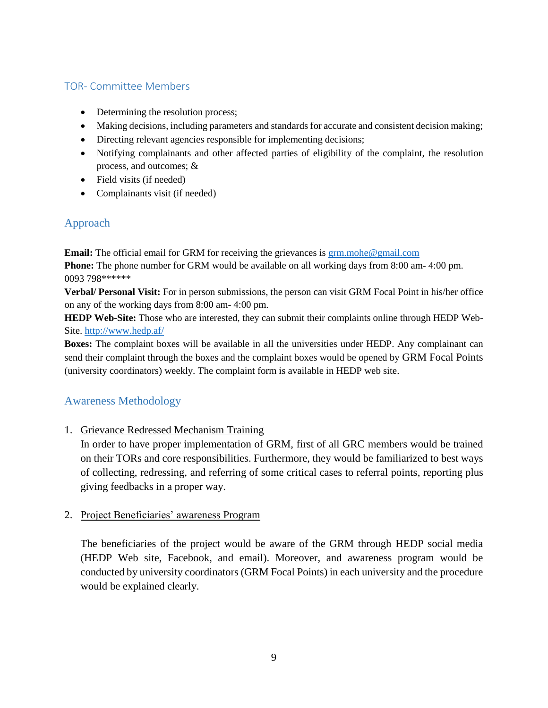#### TOR- Committee Members

- Determining the resolution process;
- Making decisions, including parameters and standards for accurate and consistent decision making;
- Directing relevant agencies responsible for implementing decisions;
- Notifying complainants and other affected parties of eligibility of the complaint, the resolution process, and outcomes; &
- Field visits (if needed)
- Complainants visit (if needed)

## Approach

**Email:** The official email for GRM for receiving the grievances is [grm.mohe@gmail.com](mailto:grm.mohe@gmail.com) **Phone:** The phone number for GRM would be available on all working days from 8:00 am- 4:00 pm. 0093 798\*\*\*\*\*\*

**Verbal/ Personal Visit:** For in person submissions, the person can visit GRM Focal Point in his/her office on any of the working days from 8:00 am- 4:00 pm.

**HEDP Web-Site:** Those who are interested, they can submit their complaints online through HEDP Web-Site[. http://www.hedp.af/](http://www.hedp.af/)

**Boxes:** The complaint boxes will be available in all the universities under HEDP. Any complainant can send their complaint through the boxes and the complaint boxes would be opened by GRM Focal Points (university coordinators) weekly. The complaint form is available in HEDP web site.

#### Awareness Methodology

1. Grievance Redressed Mechanism Training

In order to have proper implementation of GRM, first of all GRC members would be trained on their TORs and core responsibilities. Furthermore, they would be familiarized to best ways of collecting, redressing, and referring of some critical cases to referral points, reporting plus giving feedbacks in a proper way.

#### 2. Project Beneficiaries' awareness Program

The beneficiaries of the project would be aware of the GRM through HEDP social media (HEDP Web site, Facebook, and email). Moreover, and awareness program would be conducted by university coordinators (GRM Focal Points) in each university and the procedure would be explained clearly.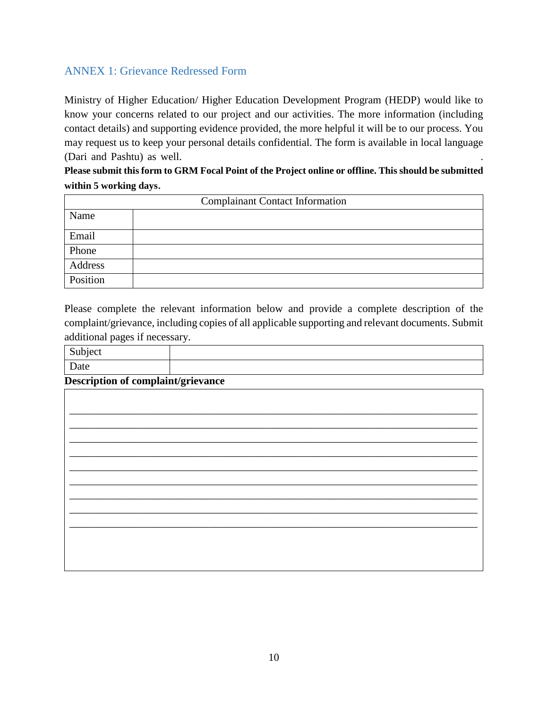## ANNEX 1: Grievance Redressed Form

Ministry of Higher Education/ Higher Education Development Program (HEDP) would like to know your concerns related to our project and our activities. The more information (including contact details) and supporting evidence provided, the more helpful it will be to our process. You may request us to keep your personal details confidential. The form is available in local language (Dari and Pashtu) as well.

#### **Please submit this form to GRM Focal Point of the Project online or offline. This should be submitted within 5 working days**.

| <b>Complainant Contact Information</b> |  |  |  |  |  |  |  |  |  |  |  |
|----------------------------------------|--|--|--|--|--|--|--|--|--|--|--|
| Name                                   |  |  |  |  |  |  |  |  |  |  |  |
| Email                                  |  |  |  |  |  |  |  |  |  |  |  |
| Phone                                  |  |  |  |  |  |  |  |  |  |  |  |
| Address                                |  |  |  |  |  |  |  |  |  |  |  |
| Position                               |  |  |  |  |  |  |  |  |  |  |  |

Please complete the relevant information below and provide a complete description of the complaint/grievance, including copies of all applicable supporting and relevant documents. Submit additional pages if necessary.

Subject Date

**Description of complaint/grievance**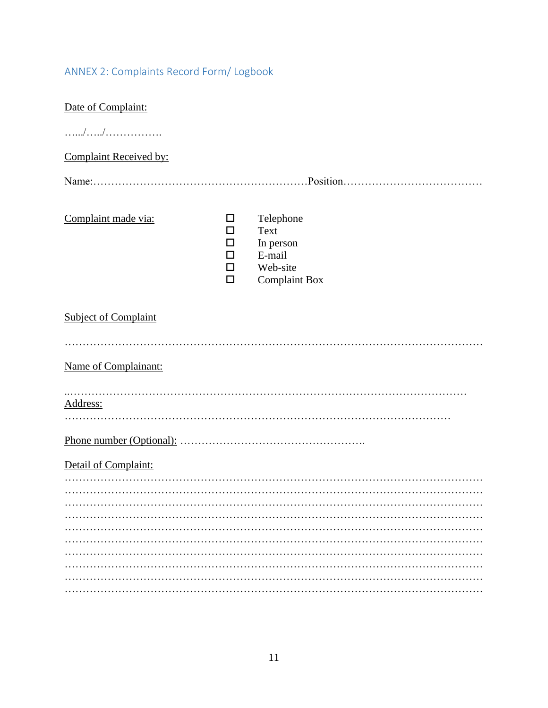# ANNEX 2: Complaints Record Form/ Logbook

| Date of Complaint:          |                            |                                                                              |  |  |  |  |  |  |  |  |  |  |
|-----------------------------|----------------------------|------------------------------------------------------------------------------|--|--|--|--|--|--|--|--|--|--|
|                             |                            |                                                                              |  |  |  |  |  |  |  |  |  |  |
| Complaint Received by:      |                            |                                                                              |  |  |  |  |  |  |  |  |  |  |
|                             |                            |                                                                              |  |  |  |  |  |  |  |  |  |  |
| Complaint made via:         | ப<br>П<br>H<br>П<br>П<br>П | Telephone<br>Text<br>In person<br>E-mail<br>Web-site<br><b>Complaint Box</b> |  |  |  |  |  |  |  |  |  |  |
| <b>Subject of Complaint</b> |                            |                                                                              |  |  |  |  |  |  |  |  |  |  |
| Name of Complainant:        |                            |                                                                              |  |  |  |  |  |  |  |  |  |  |
| Address:                    |                            |                                                                              |  |  |  |  |  |  |  |  |  |  |
|                             |                            |                                                                              |  |  |  |  |  |  |  |  |  |  |
| Detail of Complaint:        |                            |                                                                              |  |  |  |  |  |  |  |  |  |  |
|                             |                            |                                                                              |  |  |  |  |  |  |  |  |  |  |
|                             |                            |                                                                              |  |  |  |  |  |  |  |  |  |  |
|                             |                            |                                                                              |  |  |  |  |  |  |  |  |  |  |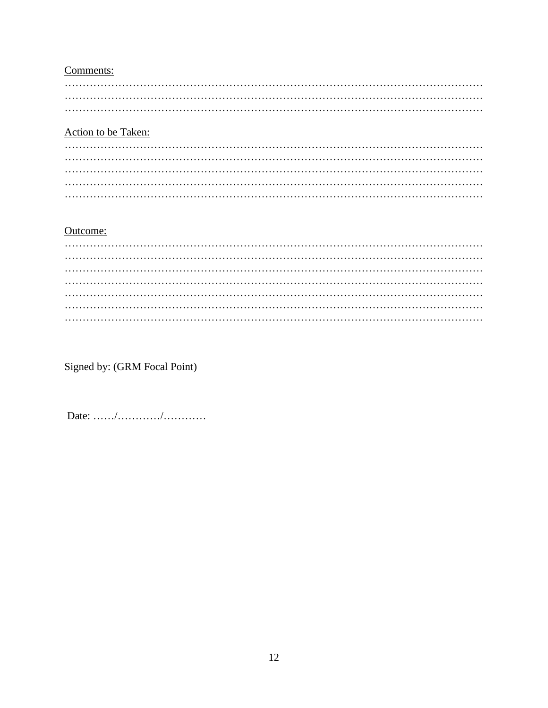## Comments:

## Action to be Taken:

#### Outcome:

Signed by: (GRM Focal Point)

Date:  $\ldots \ldots \ldots \ldots \ldots \ldots \ldots$